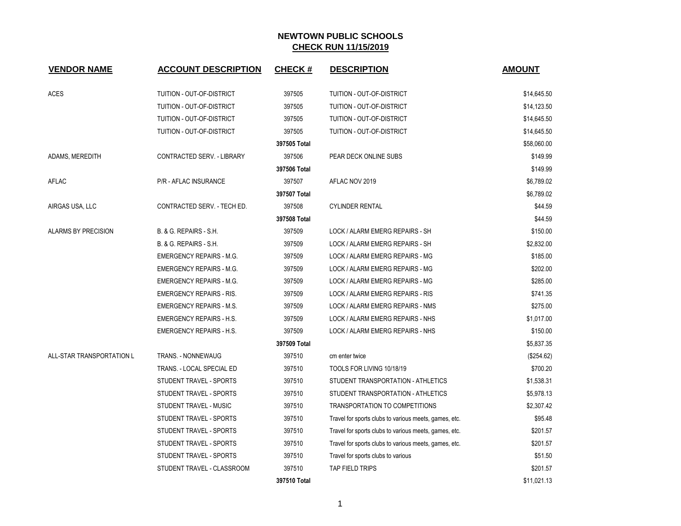| <b>VENDOR NAME</b>         | <b>ACCOUNT DESCRIPTION</b>        | <b>CHECK#</b> | <b>DESCRIPTION</b>                                    | <b>AMOUNT</b> |
|----------------------------|-----------------------------------|---------------|-------------------------------------------------------|---------------|
| <b>ACES</b>                | TUITION - OUT-OF-DISTRICT         | 397505        | TUITION - OUT-OF-DISTRICT                             | \$14,645.50   |
|                            | TUITION - OUT-OF-DISTRICT         | 397505        | TUITION - OUT-OF-DISTRICT                             | \$14,123.50   |
|                            | TUITION - OUT-OF-DISTRICT         | 397505        | TUITION - OUT-OF-DISTRICT                             | \$14,645.50   |
|                            | TUITION - OUT-OF-DISTRICT         | 397505        | TUITION - OUT-OF-DISTRICT                             | \$14,645.50   |
|                            |                                   | 397505 Total  |                                                       | \$58,060.00   |
| ADAMS, MEREDITH            | <b>CONTRACTED SERV. - LIBRARY</b> | 397506        | PEAR DECK ONLINE SUBS                                 | \$149.99      |
|                            |                                   | 397506 Total  |                                                       | \$149.99      |
| AFLAC                      | P/R - AFLAC INSURANCE             | 397507        | AFLAC NOV 2019                                        | \$6,789.02    |
|                            |                                   | 397507 Total  |                                                       | \$6,789.02    |
| AIRGAS USA, LLC            | CONTRACTED SERV. - TECH ED.       | 397508        | <b>CYLINDER RENTAL</b>                                | \$44.59       |
|                            |                                   | 397508 Total  |                                                       | \$44.59       |
| <b>ALARMS BY PRECISION</b> | B. & G. REPAIRS - S.H.            | 397509        | LOCK / ALARM EMERG REPAIRS - SH                       | \$150.00      |
|                            | <b>B. &amp; G. REPAIRS - S.H.</b> | 397509        | LOCK / ALARM EMERG REPAIRS - SH                       | \$2,832.00    |
|                            | <b>EMERGENCY REPAIRS - M.G.</b>   | 397509        | LOCK / ALARM EMERG REPAIRS - MG                       | \$185.00      |
|                            | <b>EMERGENCY REPAIRS - M.G.</b>   | 397509        | LOCK / ALARM EMERG REPAIRS - MG                       | \$202.00      |
|                            | <b>EMERGENCY REPAIRS - M.G.</b>   | 397509        | LOCK / ALARM EMERG REPAIRS - MG                       | \$285.00      |
|                            | <b>EMERGENCY REPAIRS - RIS.</b>   | 397509        | LOCK / ALARM EMERG REPAIRS - RIS                      | \$741.35      |
|                            | <b>EMERGENCY REPAIRS - M.S.</b>   | 397509        | LOCK / ALARM EMERG REPAIRS - NMS                      | \$275.00      |
|                            | EMERGENCY REPAIRS - H.S.          | 397509        | LOCK / ALARM EMERG REPAIRS - NHS                      | \$1,017.00    |
|                            | <b>EMERGENCY REPAIRS - H.S.</b>   | 397509        | LOCK / ALARM EMERG REPAIRS - NHS                      | \$150.00      |
|                            |                                   | 397509 Total  |                                                       | \$5,837.35    |
| ALL-STAR TRANSPORTATION L  | <b>TRANS. - NONNEWAUG</b>         | 397510        | cm enter twice                                        | (\$254.62)    |
|                            | TRANS. - LOCAL SPECIAL ED         | 397510        | TOOLS FOR LIVING 10/18/19                             | \$700.20      |
|                            | STUDENT TRAVEL - SPORTS           | 397510        | STUDENT TRANSPORTATION - ATHLETICS                    | \$1,538.31    |
|                            | STUDENT TRAVEL - SPORTS           | 397510        | STUDENT TRANSPORTATION - ATHLETICS                    | \$5,978.13    |
|                            | STUDENT TRAVEL - MUSIC            | 397510        | TRANSPORTATION TO COMPETITIONS                        | \$2,307.42    |
|                            | STUDENT TRAVEL - SPORTS           | 397510        | Travel for sports clubs to various meets, games, etc. | \$95.48       |
|                            | STUDENT TRAVEL - SPORTS           | 397510        | Travel for sports clubs to various meets, games, etc. | \$201.57      |
|                            | STUDENT TRAVEL - SPORTS           | 397510        | Travel for sports clubs to various meets, games, etc. | \$201.57      |
|                            | STUDENT TRAVEL - SPORTS           | 397510        | Travel for sports clubs to various                    | \$51.50       |
|                            | STUDENT TRAVEL - CLASSROOM        | 397510        | TAP FIELD TRIPS                                       | \$201.57      |
|                            |                                   | 397510 Total  |                                                       | \$11,021.13   |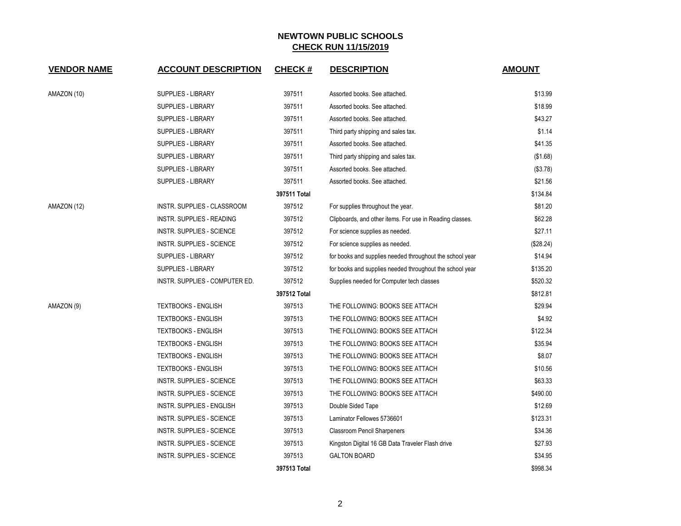| <b>VENDOR NAME</b> | <b>ACCOUNT DESCRIPTION</b>       | <b>CHECK#</b> | <b>DESCRIPTION</b>                                       | <b>AMOUNT</b> |
|--------------------|----------------------------------|---------------|----------------------------------------------------------|---------------|
| AMAZON (10)        | <b>SUPPLIES - LIBRARY</b>        | 397511        | Assorted books. See attached.                            | \$13.99       |
|                    | SUPPLIES - LIBRARY               | 397511        | Assorted books. See attached.                            | \$18.99       |
|                    | SUPPLIES - LIBRARY               | 397511        | Assorted books. See attached.                            | \$43.27       |
|                    | SUPPLIES - LIBRARY               | 397511        | Third party shipping and sales tax.                      | \$1.14        |
|                    | SUPPLIES - LIBRARY               | 397511        | Assorted books. See attached.                            | \$41.35       |
|                    | SUPPLIES - LIBRARY               | 397511        | Third party shipping and sales tax.                      | (\$1.68)      |
|                    | <b>SUPPLIES - LIBRARY</b>        | 397511        | Assorted books. See attached.                            | (\$3.78)      |
|                    | SUPPLIES - LIBRARY               | 397511        | Assorted books. See attached.                            | \$21.56       |
|                    |                                  | 397511 Total  |                                                          | \$134.84      |
| AMAZON (12)        | INSTR. SUPPLIES - CLASSROOM      | 397512        | For supplies throughout the year.                        | \$81.20       |
|                    | INSTR. SUPPLIES - READING        | 397512        | Clipboards, and other items. For use in Reading classes. | \$62.28       |
|                    | INSTR. SUPPLIES - SCIENCE        | 397512        | For science supplies as needed.                          | \$27.11       |
|                    | <b>INSTR. SUPPLIES - SCIENCE</b> | 397512        | For science supplies as needed.                          | (\$28.24)     |
|                    | <b>SUPPLIES - LIBRARY</b>        | 397512        | for books and supplies needed throughout the school year | \$14.94       |
|                    | <b>SUPPLIES - LIBRARY</b>        | 397512        | for books and supplies needed throughout the school year | \$135.20      |
|                    | INSTR. SUPPLIES - COMPUTER ED.   | 397512        | Supplies needed for Computer tech classes                | \$520.32      |
|                    |                                  | 397512 Total  |                                                          | \$812.81      |
| AMAZON (9)         | <b>TEXTBOOKS - ENGLISH</b>       | 397513        | THE FOLLOWING: BOOKS SEE ATTACH                          | \$29.94       |
|                    | <b>TEXTBOOKS - ENGLISH</b>       | 397513        | THE FOLLOWING: BOOKS SEE ATTACH                          | \$4.92        |
|                    | <b>TEXTBOOKS - ENGLISH</b>       | 397513        | THE FOLLOWING: BOOKS SEE ATTACH                          | \$122.34      |
|                    | TEXTBOOKS - ENGLISH              | 397513        | THE FOLLOWING: BOOKS SEE ATTACH                          | \$35.94       |
|                    | <b>TEXTBOOKS - ENGLISH</b>       | 397513        | THE FOLLOWING: BOOKS SEE ATTACH                          | \$8.07        |
|                    | <b>TEXTBOOKS - ENGLISH</b>       | 397513        | THE FOLLOWING: BOOKS SEE ATTACH                          | \$10.56       |
|                    | <b>INSTR. SUPPLIES - SCIENCE</b> | 397513        | THE FOLLOWING: BOOKS SEE ATTACH                          | \$63.33       |
|                    | INSTR. SUPPLIES - SCIENCE        | 397513        | THE FOLLOWING: BOOKS SEE ATTACH                          | \$490.00      |
|                    | INSTR. SUPPLIES - ENGLISH        | 397513        | Double Sided Tape                                        | \$12.69       |
|                    | <b>INSTR. SUPPLIES - SCIENCE</b> | 397513        | Laminator Fellowes 5736601                               | \$123.31      |
|                    | INSTR. SUPPLIES - SCIENCE        | 397513        | <b>Classroom Pencil Sharpeners</b>                       | \$34.36       |
|                    | INSTR. SUPPLIES - SCIENCE        | 397513        | Kingston Digital 16 GB Data Traveler Flash drive         | \$27.93       |
|                    | INSTR. SUPPLIES - SCIENCE        | 397513        | <b>GALTON BOARD</b>                                      | \$34.95       |
|                    |                                  | 397513 Total  |                                                          | \$998.34      |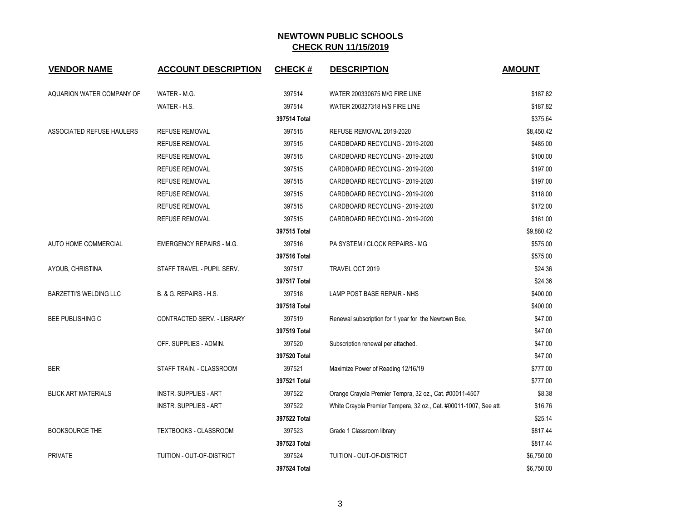| <b>VENDOR NAME</b>         | <b>ACCOUNT DESCRIPTION</b>      | <b>CHECK#</b> | <b>DESCRIPTION</b>                                               | <b>AMOUNT</b> |
|----------------------------|---------------------------------|---------------|------------------------------------------------------------------|---------------|
| AQUARION WATER COMPANY OF  | WATER - M.G.                    | 397514        | WATER 200330675 M/G FIRE LINE                                    | \$187.82      |
|                            | WATER - H.S.                    | 397514        | WATER 200327318 H/S FIRE LINE                                    | \$187.82      |
|                            |                                 | 397514 Total  |                                                                  | \$375.64      |
| ASSOCIATED REFUSE HAULERS  | <b>REFUSE REMOVAL</b>           | 397515        | REFUSE REMOVAL 2019-2020                                         | \$8,450.42    |
|                            | <b>REFUSE REMOVAL</b>           | 397515        | CARDBOARD RECYCLING - 2019-2020                                  | \$485.00      |
|                            | <b>REFUSE REMOVAL</b>           | 397515        | CARDBOARD RECYCLING - 2019-2020                                  | \$100.00      |
|                            | <b>REFUSE REMOVAL</b>           | 397515        | CARDBOARD RECYCLING - 2019-2020                                  | \$197.00      |
|                            | <b>REFUSE REMOVAL</b>           | 397515        | CARDBOARD RECYCLING - 2019-2020                                  | \$197.00      |
|                            | <b>REFUSE REMOVAL</b>           | 397515        | CARDBOARD RECYCLING - 2019-2020                                  | \$118.00      |
|                            | <b>REFUSE REMOVAL</b>           | 397515        | CARDBOARD RECYCLING - 2019-2020                                  | \$172.00      |
|                            | <b>REFUSE REMOVAL</b>           | 397515        | CARDBOARD RECYCLING - 2019-2020                                  | \$161.00      |
|                            |                                 | 397515 Total  |                                                                  | \$9,880.42    |
| AUTO HOME COMMERCIAL       | <b>EMERGENCY REPAIRS - M.G.</b> | 397516        | PA SYSTEM / CLOCK REPAIRS - MG                                   | \$575.00      |
|                            |                                 | 397516 Total  |                                                                  | \$575.00      |
| AYOUB, CHRISTINA           | STAFF TRAVEL - PUPIL SERV.      | 397517        | TRAVEL OCT 2019                                                  | \$24.36       |
|                            |                                 | 397517 Total  |                                                                  | \$24.36       |
| BARZETTI'S WELDING LLC     | B. & G. REPAIRS - H.S.          | 397518        | LAMP POST BASE REPAIR - NHS                                      | \$400.00      |
|                            |                                 | 397518 Total  |                                                                  | \$400.00      |
| BEE PUBLISHING C           | CONTRACTED SERV. - LIBRARY      | 397519        | Renewal subscription for 1 year for the Newtown Bee.             | \$47.00       |
|                            |                                 | 397519 Total  |                                                                  | \$47.00       |
|                            | OFF. SUPPLIES - ADMIN.          | 397520        | Subscription renewal per attached.                               | \$47.00       |
|                            |                                 | 397520 Total  |                                                                  | \$47.00       |
| <b>BER</b>                 | STAFF TRAIN. - CLASSROOM        | 397521        | Maximize Power of Reading 12/16/19                               | \$777.00      |
|                            |                                 | 397521 Total  |                                                                  | \$777.00      |
| <b>BLICK ART MATERIALS</b> | <b>INSTR. SUPPLIES - ART</b>    | 397522        | Orange Crayola Premier Tempra, 32 oz., Cat. #00011-4507          | \$8.38        |
|                            | <b>INSTR. SUPPLIES - ART</b>    | 397522        | White Crayola Premier Tempera, 32 oz., Cat. #00011-1007, See att | \$16.76       |
|                            |                                 | 397522 Total  |                                                                  | \$25.14       |
| <b>BOOKSOURCE THE</b>      | TEXTBOOKS - CLASSROOM           | 397523        | Grade 1 Classroom library                                        | \$817.44      |
|                            |                                 | 397523 Total  |                                                                  | \$817.44      |
| PRIVATE                    | TUITION - OUT-OF-DISTRICT       | 397524        | TUITION - OUT-OF-DISTRICT                                        | \$6,750.00    |
|                            |                                 | 397524 Total  |                                                                  | \$6,750.00    |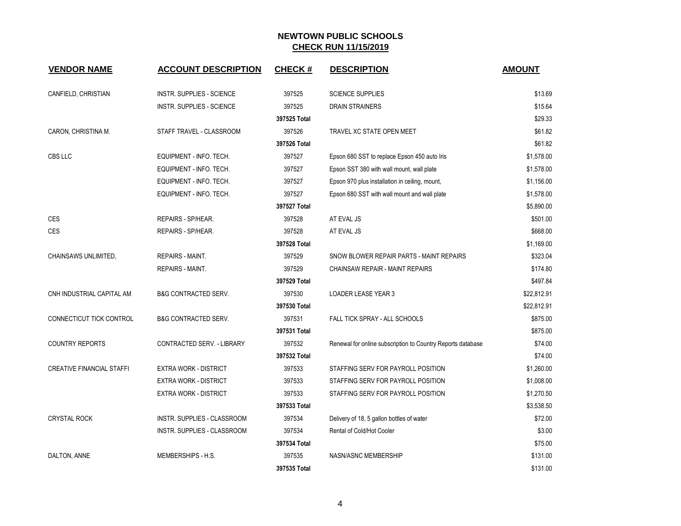| <b>VENDOR NAME</b>               | <b>ACCOUNT DESCRIPTION</b>        | <b>CHECK#</b> | <b>DESCRIPTION</b>                                          | <b>AMOUNT</b> |
|----------------------------------|-----------------------------------|---------------|-------------------------------------------------------------|---------------|
| CANFIELD, CHRISTIAN              | INSTR. SUPPLIES - SCIENCE         | 397525        | <b>SCIENCE SUPPLIES</b>                                     | \$13.69       |
|                                  | INSTR. SUPPLIES - SCIENCE         | 397525        | DRAIN STRAINERS                                             | \$15.64       |
|                                  |                                   | 397525 Total  |                                                             | \$29.33       |
| CARON, CHRISTINA M.              | STAFF TRAVEL - CLASSROOM          | 397526        | TRAVEL XC STATE OPEN MEET                                   | \$61.82       |
|                                  |                                   | 397526 Total  |                                                             | \$61.82       |
| CBS LLC                          | EQUIPMENT - INFO. TECH.           | 397527        | Epson 680 SST to replace Epson 450 auto Iris                | \$1,578.00    |
|                                  | EQUIPMENT - INFO. TECH.           | 397527        | Epson SST 380 with wall mount, wall plate                   | \$1,578.00    |
|                                  | EQUIPMENT - INFO. TECH.           | 397527        | Epson 970 plus installation in ceiling, mount,              | \$1,156.00    |
|                                  | EQUIPMENT - INFO. TECH.           | 397527        | Epson 680 SST with wall mount and wall plate                | \$1,578.00    |
|                                  |                                   | 397527 Total  |                                                             | \$5,890.00    |
| <b>CES</b>                       | REPAIRS - SP/HEAR.                | 397528        | AT EVAL JS                                                  | \$501.00      |
| CES                              | REPAIRS - SP/HEAR.                | 397528        | AT EVAL JS                                                  | \$668.00      |
|                                  |                                   | 397528 Total  |                                                             | \$1,169.00    |
| CHAINSAWS UNLIMITED,             | REPAIRS - MAINT.                  | 397529        | SNOW BLOWER REPAIR PARTS - MAINT REPAIRS                    | \$323.04      |
|                                  | REPAIRS - MAINT.                  | 397529        | CHAINSAW REPAIR - MAINT REPAIRS                             | \$174.80      |
|                                  |                                   | 397529 Total  |                                                             | \$497.84      |
| CNH INDUSTRIAL CAPITAL AM        | <b>B&amp;G CONTRACTED SERV.</b>   | 397530        | <b>LOADER LEASE YEAR 3</b>                                  | \$22,812.91   |
|                                  |                                   | 397530 Total  |                                                             | \$22,812.91   |
| CONNECTICUT TICK CONTROL         | <b>B&amp;G CONTRACTED SERV.</b>   | 397531        | FALL TICK SPRAY - ALL SCHOOLS                               | \$875.00      |
|                                  |                                   | 397531 Total  |                                                             | \$875.00      |
| <b>COUNTRY REPORTS</b>           | <b>CONTRACTED SERV. - LIBRARY</b> | 397532        | Renewal for online subscription to Country Reports database | \$74.00       |
|                                  |                                   | 397532 Total  |                                                             | \$74.00       |
| <b>CREATIVE FINANCIAL STAFFI</b> | <b>EXTRA WORK - DISTRICT</b>      | 397533        | STAFFING SERV FOR PAYROLL POSITION                          | \$1,260.00    |
|                                  | <b>EXTRA WORK - DISTRICT</b>      | 397533        | STAFFING SERV FOR PAYROLL POSITION                          | \$1,008.00    |
|                                  | <b>EXTRA WORK - DISTRICT</b>      | 397533        | STAFFING SERV FOR PAYROLL POSITION                          | \$1,270.50    |
|                                  |                                   | 397533 Total  |                                                             | \$3,538.50    |
| <b>CRYSTAL ROCK</b>              | INSTR. SUPPLIES - CLASSROOM       | 397534        | Delivery of 18, 5 gallon bottles of water                   | \$72.00       |
|                                  | INSTR. SUPPLIES - CLASSROOM       | 397534        | Rental of Cold/Hot Cooler                                   | \$3.00        |
|                                  |                                   | 397534 Total  |                                                             | \$75.00       |
| DALTON, ANNE                     | MEMBERSHIPS - H.S.                | 397535        | NASN/ASNC MEMBERSHIP                                        | \$131.00      |
|                                  |                                   | 397535 Total  |                                                             | \$131.00      |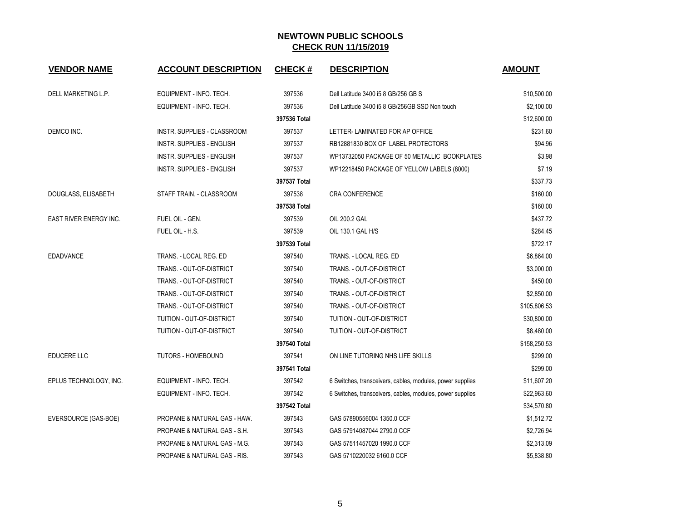| <b>VENDOR NAME</b>            | <b>ACCOUNT DESCRIPTION</b>       | <b>CHECK#</b> | <b>DESCRIPTION</b>                                        | <b>AMOUNT</b> |
|-------------------------------|----------------------------------|---------------|-----------------------------------------------------------|---------------|
|                               |                                  |               |                                                           |               |
| DELL MARKETING L.P.           | EQUIPMENT - INFO. TECH.          | 397536        | Dell Latitude 3400 i5 8 GB/256 GB S                       | \$10,500.00   |
|                               | EQUIPMENT - INFO. TECH.          | 397536        | Dell Latitude 3400 i5 8 GB/256GB SSD Non touch            | \$2,100.00    |
|                               |                                  | 397536 Total  |                                                           | \$12,600.00   |
| DEMCO INC.                    | INSTR. SUPPLIES - CLASSROOM      | 397537        | LETTER- LAMINATED FOR AP OFFICE                           | \$231.60      |
|                               | <b>INSTR. SUPPLIES - ENGLISH</b> | 397537        | RB12881830 BOX OF LABEL PROTECTORS                        | \$94.96       |
|                               | <b>INSTR. SUPPLIES - ENGLISH</b> | 397537        | WP13732050 PACKAGE OF 50 METALLIC BOOKPLATES              | \$3.98        |
|                               | INSTR. SUPPLIES - ENGLISH        | 397537        | WP12218450 PACKAGE OF YELLOW LABELS (8000)                | \$7.19        |
|                               |                                  | 397537 Total  |                                                           | \$337.73      |
| DOUGLASS, ELISABETH           | STAFF TRAIN. - CLASSROOM         | 397538        | CRA CONFERENCE                                            | \$160.00      |
|                               |                                  | 397538 Total  |                                                           | \$160.00      |
| <b>EAST RIVER ENERGY INC.</b> | FUEL OIL - GEN.                  | 397539        | OIL 200.2 GAL                                             | \$437.72      |
|                               | FUEL OIL - H.S.                  | 397539        | OIL 130.1 GAL H/S                                         | \$284.45      |
|                               |                                  | 397539 Total  |                                                           | \$722.17      |
| <b>EDADVANCE</b>              | TRANS. - LOCAL REG. ED           | 397540        | TRANS. - LOCAL REG. ED                                    | \$6,864.00    |
|                               | TRANS. - OUT-OF-DISTRICT         | 397540        | TRANS. - OUT-OF-DISTRICT                                  | \$3,000.00    |
|                               | TRANS. - OUT-OF-DISTRICT         | 397540        | TRANS. - OUT-OF-DISTRICT                                  | \$450.00      |
|                               | TRANS. - OUT-OF-DISTRICT         | 397540        | TRANS. - OUT-OF-DISTRICT                                  | \$2,850.00    |
|                               | TRANS. - OUT-OF-DISTRICT         | 397540        | TRANS. - OUT-OF-DISTRICT                                  | \$105,806.53  |
|                               | TUITION - OUT-OF-DISTRICT        | 397540        | TUITION - OUT-OF-DISTRICT                                 | \$30,800.00   |
|                               | TUITION - OUT-OF-DISTRICT        | 397540        | TUITION - OUT-OF-DISTRICT                                 | \$8,480.00    |
|                               |                                  | 397540 Total  |                                                           | \$158,250.53  |
| EDUCERE LLC                   | <b>TUTORS - HOMEBOUND</b>        | 397541        | ON LINE TUTORING NHS LIFE SKILLS                          | \$299.00      |
|                               |                                  | 397541 Total  |                                                           | \$299.00      |
| EPLUS TECHNOLOGY, INC.        | EQUIPMENT - INFO. TECH.          | 397542        | 6 Switches, transceivers, cables, modules, power supplies | \$11,607.20   |
|                               | EQUIPMENT - INFO. TECH.          | 397542        | 6 Switches, transceivers, cables, modules, power supplies | \$22,963.60   |
|                               |                                  | 397542 Total  |                                                           | \$34,570.80   |
| EVERSOURCE (GAS-BOE)          | PROPANE & NATURAL GAS - HAW.     | 397543        | GAS 57890556004 1350.0 CCF                                | \$1,512.72    |
|                               | PROPANE & NATURAL GAS - S.H.     | 397543        | GAS 57914087044 2790.0 CCF                                | \$2,726.94    |
|                               | PROPANE & NATURAL GAS - M.G.     | 397543        | GAS 57511457020 1990.0 CCF                                | \$2,313.09    |
|                               | PROPANE & NATURAL GAS - RIS.     | 397543        | GAS 5710220032 6160.0 CCF                                 | \$5,838.80    |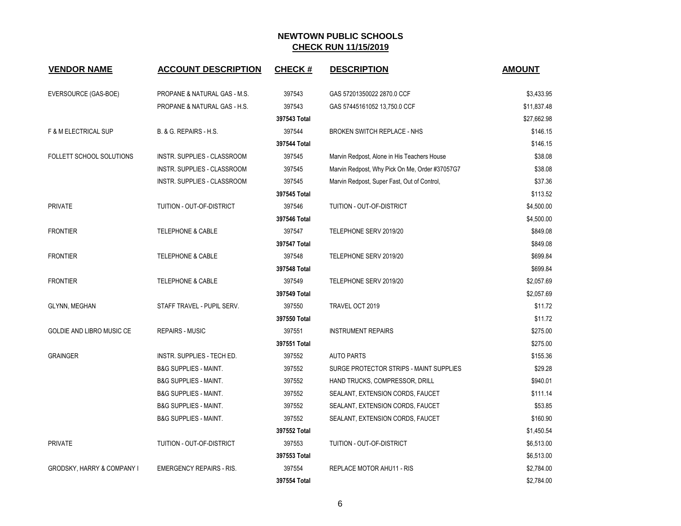| <b>VENDOR NAME</b>                    | <b>ACCOUNT DESCRIPTION</b>              | <b>CHECK#</b> | <b>DESCRIPTION</b>                             | <b>AMOUNT</b> |
|---------------------------------------|-----------------------------------------|---------------|------------------------------------------------|---------------|
| EVERSOURCE (GAS-BOE)                  | <b>PROPANE &amp; NATURAL GAS - M.S.</b> | 397543        | GAS 57201350022 2870.0 CCF                     | \$3,433.95    |
|                                       | PROPANE & NATURAL GAS - H.S.            | 397543        | GAS 57445161052 13,750.0 CCF                   | \$11,837.48   |
|                                       |                                         | 397543 Total  |                                                | \$27,662.98   |
| F & M ELECTRICAL SUP                  | B. & G. REPAIRS - H.S.                  | 397544        | <b>BROKEN SWITCH REPLACE - NHS</b>             | \$146.15      |
|                                       |                                         | 397544 Total  |                                                | \$146.15      |
| FOLLETT SCHOOL SOLUTIONS              | INSTR. SUPPLIES - CLASSROOM             | 397545        | Marvin Redpost, Alone in His Teachers House    | \$38.08       |
|                                       | INSTR. SUPPLIES - CLASSROOM             | 397545        | Marvin Redpost, Why Pick On Me, Order #37057G7 | \$38.08       |
|                                       | INSTR. SUPPLIES - CLASSROOM             | 397545        | Marvin Redpost, Super Fast, Out of Control,    | \$37.36       |
|                                       |                                         | 397545 Total  |                                                | \$113.52      |
| <b>PRIVATE</b>                        | TUITION - OUT-OF-DISTRICT               | 397546        | TUITION - OUT-OF-DISTRICT                      | \$4,500.00    |
|                                       |                                         | 397546 Total  |                                                | \$4,500.00    |
| <b>FRONTIER</b>                       | <b>TELEPHONE &amp; CABLE</b>            | 397547        | TELEPHONE SERV 2019/20                         | \$849.08      |
|                                       |                                         | 397547 Total  |                                                | \$849.08      |
| <b>FRONTIER</b>                       | <b>TELEPHONE &amp; CABLE</b>            | 397548        | TELEPHONE SERV 2019/20                         | \$699.84      |
|                                       |                                         | 397548 Total  |                                                | \$699.84      |
| <b>FRONTIER</b>                       | <b>TELEPHONE &amp; CABLE</b>            | 397549        | TELEPHONE SERV 2019/20                         | \$2,057.69    |
|                                       |                                         | 397549 Total  |                                                | \$2,057.69    |
| <b>GLYNN, MEGHAN</b>                  | STAFF TRAVEL - PUPIL SERV.              | 397550        | TRAVEL OCT 2019                                | \$11.72       |
|                                       |                                         | 397550 Total  |                                                | \$11.72       |
| <b>GOLDIE AND LIBRO MUSIC CE</b>      | REPAIRS - MUSIC                         | 397551        | <b>INSTRUMENT REPAIRS</b>                      | \$275.00      |
|                                       |                                         | 397551 Total  |                                                | \$275.00      |
| <b>GRAINGER</b>                       | INSTR. SUPPLIES - TECH ED.              | 397552        | <b>AUTO PARTS</b>                              | \$155.36      |
|                                       | <b>B&amp;G SUPPLIES - MAINT.</b>        | 397552        | SURGE PROTECTOR STRIPS - MAINT SUPPLIES        | \$29.28       |
|                                       | <b>B&amp;G SUPPLIES - MAINT.</b>        | 397552        | HAND TRUCKS, COMPRESSOR, DRILL                 | \$940.01      |
|                                       | <b>B&amp;G SUPPLIES - MAINT.</b>        | 397552        | SEALANT, EXTENSION CORDS, FAUCET               | \$111.14      |
|                                       | <b>B&amp;G SUPPLIES - MAINT.</b>        | 397552        | SEALANT, EXTENSION CORDS, FAUCET               | \$53.85       |
|                                       | <b>B&amp;G SUPPLIES - MAINT.</b>        | 397552        | SEALANT, EXTENSION CORDS, FAUCET               | \$160.90      |
|                                       |                                         | 397552 Total  |                                                | \$1,450.54    |
| <b>PRIVATE</b>                        | TUITION - OUT-OF-DISTRICT               | 397553        | TUITION - OUT-OF-DISTRICT                      | \$6,513.00    |
|                                       |                                         | 397553 Total  |                                                | \$6,513.00    |
| <b>GRODSKY, HARRY &amp; COMPANY I</b> | <b>EMERGENCY REPAIRS - RIS.</b>         | 397554        | REPLACE MOTOR AHU11 - RIS                      | \$2,784.00    |
|                                       |                                         | 397554 Total  |                                                | \$2,784.00    |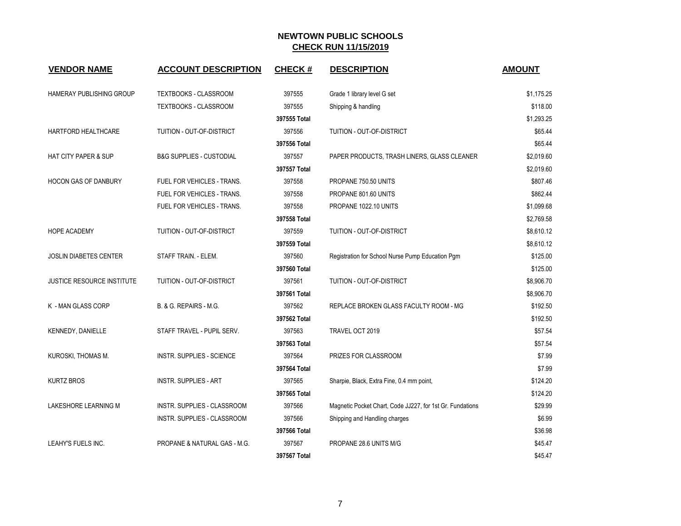| <b>VENDOR NAME</b>              | <b>ACCOUNT DESCRIPTION</b>          | <b>CHECK#</b> | <b>DESCRIPTION</b>                                        | <b>AMOUNT</b> |
|---------------------------------|-------------------------------------|---------------|-----------------------------------------------------------|---------------|
| <b>HAMERAY PUBLISHING GROUP</b> | TEXTBOOKS - CLASSROOM               | 397555        | Grade 1 library level G set                               | \$1,175.25    |
|                                 | <b>TEXTBOOKS - CLASSROOM</b>        | 397555        | Shipping & handling                                       | \$118.00      |
|                                 |                                     | 397555 Total  |                                                           | \$1,293.25    |
| HARTFORD HEALTHCARE             | TUITION - OUT-OF-DISTRICT           | 397556        | TUITION - OUT-OF-DISTRICT                                 | \$65.44       |
|                                 |                                     | 397556 Total  |                                                           | \$65.44       |
| <b>HAT CITY PAPER &amp; SUP</b> | <b>B&amp;G SUPPLIES - CUSTODIAL</b> | 397557        | PAPER PRODUCTS, TRASH LINERS, GLASS CLEANER               | \$2,019.60    |
|                                 |                                     | 397557 Total  |                                                           | \$2,019.60    |
| <b>HOCON GAS OF DANBURY</b>     | FUEL FOR VEHICLES - TRANS.          | 397558        | PROPANE 750.50 UNITS                                      | \$807.46      |
|                                 | FUEL FOR VEHICLES - TRANS.          | 397558        | PROPANE 801.60 UNITS                                      | \$862.44      |
|                                 | FUEL FOR VEHICLES - TRANS.          | 397558        | PROPANE 1022.10 UNITS                                     | \$1,099.68    |
|                                 |                                     | 397558 Total  |                                                           | \$2,769.58    |
| HOPE ACADEMY                    | TUITION - OUT-OF-DISTRICT           | 397559        | TUITION - OUT-OF-DISTRICT                                 | \$8,610.12    |
|                                 |                                     | 397559 Total  |                                                           | \$8,610.12    |
| JOSLIN DIABETES CENTER          | STAFF TRAIN. - ELEM.                | 397560        | Registration for School Nurse Pump Education Pgm          | \$125.00      |
|                                 |                                     | 397560 Total  |                                                           | \$125.00      |
| JUSTICE RESOURCE INSTITUTE      | TUITION - OUT-OF-DISTRICT           | 397561        | TUITION - OUT-OF-DISTRICT                                 | \$8,906.70    |
|                                 |                                     | 397561 Total  |                                                           | \$8,906.70    |
| K - MAN GLASS CORP              | B. & G. REPAIRS - M.G.              | 397562        | REPLACE BROKEN GLASS FACULTY ROOM - MG                    | \$192.50      |
|                                 |                                     | 397562 Total  |                                                           | \$192.50      |
| KENNEDY, DANIELLE               | STAFF TRAVEL - PUPIL SERV.          | 397563        | TRAVEL OCT 2019                                           | \$57.54       |
|                                 |                                     | 397563 Total  |                                                           | \$57.54       |
| KUROSKI, THOMAS M.              | <b>INSTR. SUPPLIES - SCIENCE</b>    | 397564        | PRIZES FOR CLASSROOM                                      | \$7.99        |
|                                 |                                     | 397564 Total  |                                                           | \$7.99        |
| <b>KURTZ BROS</b>               | <b>INSTR. SUPPLIES - ART</b>        | 397565        | Sharpie, Black, Extra Fine, 0.4 mm point,                 | \$124.20      |
|                                 |                                     | 397565 Total  |                                                           | \$124.20      |
| LAKESHORE LEARNING M            | INSTR. SUPPLIES - CLASSROOM         | 397566        | Magnetic Pocket Chart, Code JJ227, for 1st Gr. Fundations | \$29.99       |
|                                 | INSTR. SUPPLIES - CLASSROOM         | 397566        | Shipping and Handling charges                             | \$6.99        |
|                                 |                                     | 397566 Total  |                                                           | \$36.98       |
| LEAHY'S FUELS INC.              | PROPANE & NATURAL GAS - M.G.        | 397567        | PROPANE 28.6 UNITS M/G                                    | \$45.47       |
|                                 |                                     | 397567 Total  |                                                           | \$45.47       |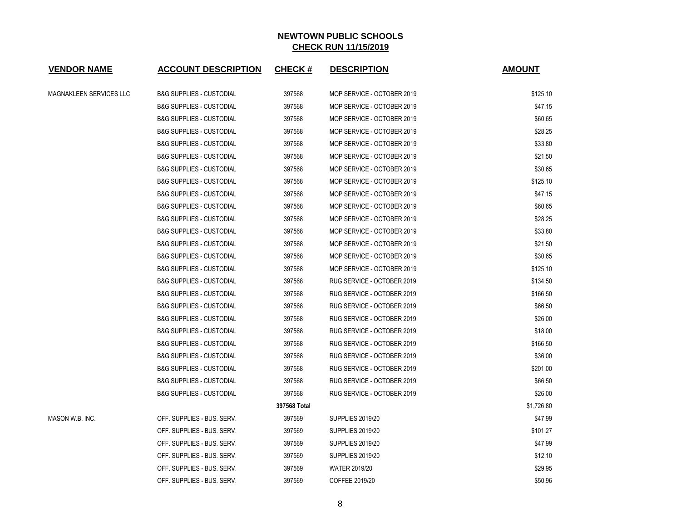| <b>VENDOR NAME</b>      | <b>ACCOUNT DESCRIPTION</b>          | <b>CHECK#</b> | <b>DESCRIPTION</b>         | <b>AMOUNT</b> |
|-------------------------|-------------------------------------|---------------|----------------------------|---------------|
| MAGNAKLEEN SERVICES LLC | <b>B&amp;G SUPPLIES - CUSTODIAL</b> | 397568        | MOP SERVICE - OCTOBER 2019 | \$125.10      |
|                         | <b>B&amp;G SUPPLIES - CUSTODIAL</b> | 397568        | MOP SERVICE - OCTOBER 2019 | \$47.15       |
|                         | <b>B&amp;G SUPPLIES - CUSTODIAL</b> | 397568        | MOP SERVICE - OCTOBER 2019 | \$60.65       |
|                         | <b>B&amp;G SUPPLIES - CUSTODIAL</b> | 397568        | MOP SERVICE - OCTOBER 2019 | \$28.25       |
|                         | <b>B&amp;G SUPPLIES - CUSTODIAL</b> | 397568        | MOP SERVICE - OCTOBER 2019 | \$33.80       |
|                         | <b>B&amp;G SUPPLIES - CUSTODIAL</b> | 397568        | MOP SERVICE - OCTOBER 2019 | \$21.50       |
|                         | <b>B&amp;G SUPPLIES - CUSTODIAL</b> | 397568        | MOP SERVICE - OCTOBER 2019 | \$30.65       |
|                         | <b>B&amp;G SUPPLIES - CUSTODIAL</b> | 397568        | MOP SERVICE - OCTOBER 2019 | \$125.10      |
|                         | <b>B&amp;G SUPPLIES - CUSTODIAL</b> | 397568        | MOP SERVICE - OCTOBER 2019 | \$47.15       |
|                         | <b>B&amp;G SUPPLIES - CUSTODIAL</b> | 397568        | MOP SERVICE - OCTOBER 2019 | \$60.65       |
|                         | <b>B&amp;G SUPPLIES - CUSTODIAL</b> | 397568        | MOP SERVICE - OCTOBER 2019 | \$28.25       |
|                         | <b>B&amp;G SUPPLIES - CUSTODIAL</b> | 397568        | MOP SERVICE - OCTOBER 2019 | \$33.80       |
|                         | <b>B&amp;G SUPPLIES - CUSTODIAL</b> | 397568        | MOP SERVICE - OCTOBER 2019 | \$21.50       |
|                         | <b>B&amp;G SUPPLIES - CUSTODIAL</b> | 397568        | MOP SERVICE - OCTOBER 2019 | \$30.65       |
|                         | <b>B&amp;G SUPPLIES - CUSTODIAL</b> | 397568        | MOP SERVICE - OCTOBER 2019 | \$125.10      |
|                         | <b>B&amp;G SUPPLIES - CUSTODIAL</b> | 397568        | RUG SERVICE - OCTOBER 2019 | \$134.50      |
|                         | <b>B&amp;G SUPPLIES - CUSTODIAL</b> | 397568        | RUG SERVICE - OCTOBER 2019 | \$166.50      |
|                         | <b>B&amp;G SUPPLIES - CUSTODIAL</b> | 397568        | RUG SERVICE - OCTOBER 2019 | \$66.50       |
|                         | <b>B&amp;G SUPPLIES - CUSTODIAL</b> | 397568        | RUG SERVICE - OCTOBER 2019 | \$26.00       |
|                         | <b>B&amp;G SUPPLIES - CUSTODIAL</b> | 397568        | RUG SERVICE - OCTOBER 2019 | \$18.00       |
|                         | <b>B&amp;G SUPPLIES - CUSTODIAL</b> | 397568        | RUG SERVICE - OCTOBER 2019 | \$166.50      |
|                         | <b>B&amp;G SUPPLIES - CUSTODIAL</b> | 397568        | RUG SERVICE - OCTOBER 2019 | \$36.00       |
|                         | <b>B&amp;G SUPPLIES - CUSTODIAL</b> | 397568        | RUG SERVICE - OCTOBER 2019 | \$201.00      |
|                         | <b>B&amp;G SUPPLIES - CUSTODIAL</b> | 397568        | RUG SERVICE - OCTOBER 2019 | \$66.50       |
|                         | <b>B&amp;G SUPPLIES - CUSTODIAL</b> | 397568        | RUG SERVICE - OCTOBER 2019 | \$26.00       |
|                         |                                     | 397568 Total  |                            | \$1,726.80    |
| MASON W.B. INC.         | OFF. SUPPLIES - BUS. SERV.          | 397569        | <b>SUPPLIES 2019/20</b>    | \$47.99       |
|                         | OFF. SUPPLIES - BUS. SERV.          | 397569        | <b>SUPPLIES 2019/20</b>    | \$101.27      |
|                         | OFF. SUPPLIES - BUS. SERV.          | 397569        | <b>SUPPLIES 2019/20</b>    | \$47.99       |
|                         | OFF. SUPPLIES - BUS. SERV.          | 397569        | <b>SUPPLIES 2019/20</b>    | \$12.10       |
|                         | OFF. SUPPLIES - BUS. SERV.          | 397569        | <b>WATER 2019/20</b>       | \$29.95       |
|                         | OFF. SUPPLIES - BUS. SERV.          | 397569        | COFFEE 2019/20             | \$50.96       |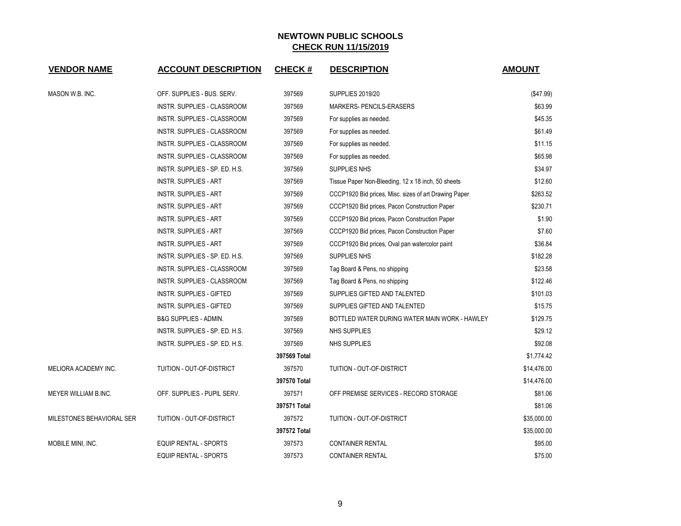| <b>VENDOR NAME</b>        | <b>ACCOUNT DESCRIPTION</b>       | <b>CHECK#</b> | <b>DESCRIPTION</b>                                    | <b>AMOUNT</b> |
|---------------------------|----------------------------------|---------------|-------------------------------------------------------|---------------|
| MASON W.B. INC.           | OFF. SUPPLIES - BUS. SERV.       | 397569        | <b>SUPPLIES 2019/20</b>                               | (\$47.99)     |
|                           | INSTR. SUPPLIES - CLASSROOM      | 397569        | MARKERS- PENCILS-ERASERS                              | \$63.99       |
|                           | INSTR. SUPPLIES - CLASSROOM      | 397569        | For supplies as needed.                               | \$45.35       |
|                           | INSTR. SUPPLIES - CLASSROOM      | 397569        | For supplies as needed.                               | \$61.49       |
|                           | INSTR. SUPPLIES - CLASSROOM      | 397569        | For supplies as needed.                               | \$11.15       |
|                           | INSTR. SUPPLIES - CLASSROOM      | 397569        | For supplies as needed.                               | \$65.98       |
|                           | INSTR. SUPPLIES - SP. ED. H.S.   | 397569        | SUPPLIES NHS                                          | \$34.97       |
|                           | <b>INSTR. SUPPLIES - ART</b>     | 397569        | Tissue Paper Non-Bleeding, 12 x 18 inch, 50 sheets    | \$12.60       |
|                           | <b>INSTR. SUPPLIES - ART</b>     | 397569        | CCCP1920 Bid prices, Misc. sizes of art Drawing Paper | \$263.52      |
|                           | <b>INSTR. SUPPLIES - ART</b>     | 397569        | CCCP1920 Bid prices, Pacon Construction Paper         | \$230.71      |
|                           | <b>INSTR. SUPPLIES - ART</b>     | 397569        | CCCP1920 Bid prices, Pacon Construction Paper         | \$1.90        |
|                           | <b>INSTR. SUPPLIES - ART</b>     | 397569        | CCCP1920 Bid prices, Pacon Construction Paper         | \$7.60        |
|                           | INSTR. SUPPLIES - ART            | 397569        | CCCP1920 Bid prices, Oval pan watercolor paint        | \$36.84       |
|                           | INSTR. SUPPLIES - SP. ED. H.S.   | 397569        | SUPPLIES NHS                                          | \$182.28      |
|                           | INSTR. SUPPLIES - CLASSROOM      | 397569        | Tag Board & Pens, no shipping                         | \$23.58       |
|                           | INSTR. SUPPLIES - CLASSROOM      | 397569        | Tag Board & Pens, no shipping                         | \$122.46      |
|                           | <b>INSTR. SUPPLIES - GIFTED</b>  | 397569        | SUPPLIES GIFTED AND TALENTED                          | \$101.03      |
|                           | INSTR. SUPPLIES - GIFTED         | 397569        | SUPPLIES GIFTED AND TALENTED                          | \$15.75       |
|                           | <b>B&amp;G SUPPLIES - ADMIN.</b> | 397569        | BOTTLED WATER DURING WATER MAIN WORK - HAWLEY         | \$129.75      |
|                           | INSTR. SUPPLIES - SP. ED. H.S.   | 397569        | NHS SUPPLIES                                          | \$29.12       |
|                           | INSTR. SUPPLIES - SP. ED. H.S.   | 397569        | NHS SUPPLIES                                          | \$92.08       |
|                           |                                  | 397569 Total  |                                                       | \$1,774.42    |
| MELIORA ACADEMY INC.      | TUITION - OUT-OF-DISTRICT        | 397570        | TUITION - OUT-OF-DISTRICT                             | \$14,476.00   |
|                           |                                  | 397570 Total  |                                                       | \$14,476.00   |
| MEYER WILLIAM B.INC.      | OFF. SUPPLIES - PUPIL SERV.      | 397571        | OFF PREMISE SERVICES - RECORD STORAGE                 | \$81.06       |
|                           |                                  | 397571 Total  |                                                       | \$81.06       |
| MILESTONES BEHAVIORAL SER | TUITION - OUT-OF-DISTRICT        | 397572        | TUITION - OUT-OF-DISTRICT                             | \$35,000.00   |
|                           |                                  | 397572 Total  |                                                       | \$35,000.00   |
| MOBILE MINI, INC.         | <b>EQUIP RENTAL - SPORTS</b>     | 397573        | <b>CONTAINER RENTAL</b>                               | \$95.00       |
|                           | EQUIP RENTAL - SPORTS            | 397573        | <b>CONTAINER RENTAL</b>                               | \$75.00       |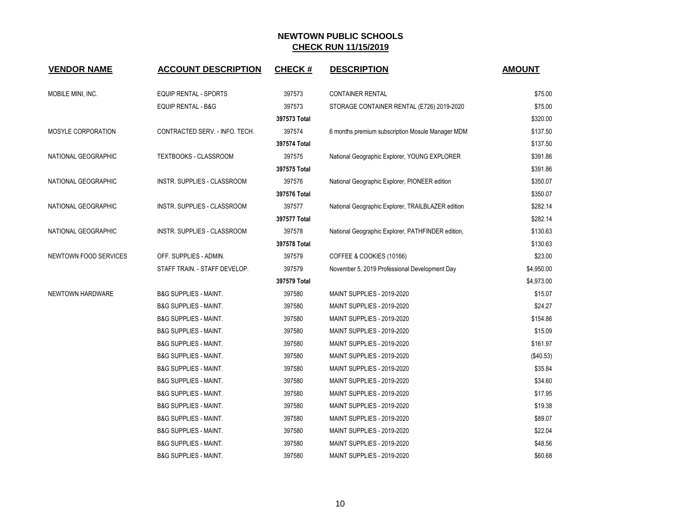| <b>VENDOR NAME</b>    | <b>ACCOUNT DESCRIPTION</b>       | <b>CHECK#</b> | <b>DESCRIPTION</b>                                | <b>AMOUNT</b> |
|-----------------------|----------------------------------|---------------|---------------------------------------------------|---------------|
|                       |                                  |               |                                                   |               |
| MOBILE MINI, INC.     | EQUIP RENTAL - SPORTS            | 397573        | <b>CONTAINER RENTAL</b>                           | \$75.00       |
|                       | <b>EQUIP RENTAL - B&amp;G</b>    | 397573        | STORAGE CONTAINER RENTAL (E726) 2019-2020         | \$75.00       |
|                       |                                  | 397573 Total  |                                                   | \$320.00      |
| MOSYLE CORPORATION    | CONTRACTED SERV. - INFO. TECH.   | 397574        | 6 months premium subscription Mosule Manager MDM  | \$137.50      |
|                       |                                  | 397574 Total  |                                                   | \$137.50      |
| NATIONAL GEOGRAPHIC   | TEXTBOOKS - CLASSROOM            | 397575        | National Geographic Explorer, YOUNG EXPLORER      | \$391.86      |
|                       |                                  | 397575 Total  |                                                   | \$391.86      |
| NATIONAL GEOGRAPHIC   | INSTR. SUPPLIES - CLASSROOM      | 397576        | National Geographic Explorer, PIONEER edition     | \$350.07      |
|                       |                                  | 397576 Total  |                                                   | \$350.07      |
| NATIONAL GEOGRAPHIC   | INSTR. SUPPLIES - CLASSROOM      | 397577        | National Geographic Explorer, TRAILBLAZER edition | \$282.14      |
|                       |                                  | 397577 Total  |                                                   | \$282.14      |
| NATIONAL GEOGRAPHIC   | INSTR. SUPPLIES - CLASSROOM      | 397578        | National Geographic Explorer, PATHFINDER edition, | \$130.63      |
|                       |                                  | 397578 Total  |                                                   | \$130.63      |
| NEWTOWN FOOD SERVICES | OFF. SUPPLIES - ADMIN.           | 397579        | COFFEE & COOKIES (10166)                          | \$23.00       |
|                       | STAFF TRAIN. - STAFF DEVELOP.    | 397579        | November 5, 2019 Professional Development Day     | \$4,950.00    |
|                       |                                  | 397579 Total  |                                                   | \$4,973.00    |
| NEWTOWN HARDWARE      | <b>B&amp;G SUPPLIES - MAINT.</b> | 397580        | <b>MAINT SUPPLIES - 2019-2020</b>                 | \$15.07       |
|                       | <b>B&amp;G SUPPLIES - MAINT.</b> | 397580        | <b>MAINT SUPPLIES - 2019-2020</b>                 | \$24.27       |
|                       | <b>B&amp;G SUPPLIES - MAINT.</b> | 397580        | <b>MAINT SUPPLIES - 2019-2020</b>                 | \$154.86      |
|                       | <b>B&amp;G SUPPLIES - MAINT.</b> | 397580        | <b>MAINT SUPPLIES - 2019-2020</b>                 | \$15.09       |
|                       | <b>B&amp;G SUPPLIES - MAINT.</b> | 397580        | <b>MAINT SUPPLIES - 2019-2020</b>                 | \$161.97      |
|                       | <b>B&amp;G SUPPLIES - MAINT.</b> | 397580        | <b>MAINT SUPPLIES - 2019-2020</b>                 | (\$40.53)     |
|                       | <b>B&amp;G SUPPLIES - MAINT.</b> | 397580        | MAINT SUPPLIES - 2019-2020                        | \$35.84       |
|                       | <b>B&amp;G SUPPLIES - MAINT.</b> | 397580        | MAINT SUPPLIES - 2019-2020                        | \$34.60       |
|                       | <b>B&amp;G SUPPLIES - MAINT.</b> | 397580        | <b>MAINT SUPPLIES - 2019-2020</b>                 | \$17.95       |
|                       | <b>B&amp;G SUPPLIES - MAINT.</b> | 397580        | <b>MAINT SUPPLIES - 2019-2020</b>                 | \$19.38       |
|                       | <b>B&amp;G SUPPLIES - MAINT.</b> | 397580        | <b>MAINT SUPPLIES - 2019-2020</b>                 | \$89.07       |
|                       | <b>B&amp;G SUPPLIES - MAINT.</b> | 397580        | <b>MAINT SUPPLIES - 2019-2020</b>                 | \$22.04       |
|                       | <b>B&amp;G SUPPLIES - MAINT.</b> | 397580        | <b>MAINT SUPPLIES - 2019-2020</b>                 | \$48.56       |
|                       | <b>B&amp;G SUPPLIES - MAINT.</b> | 397580        | MAINT SUPPLIES - 2019-2020                        | \$60.68       |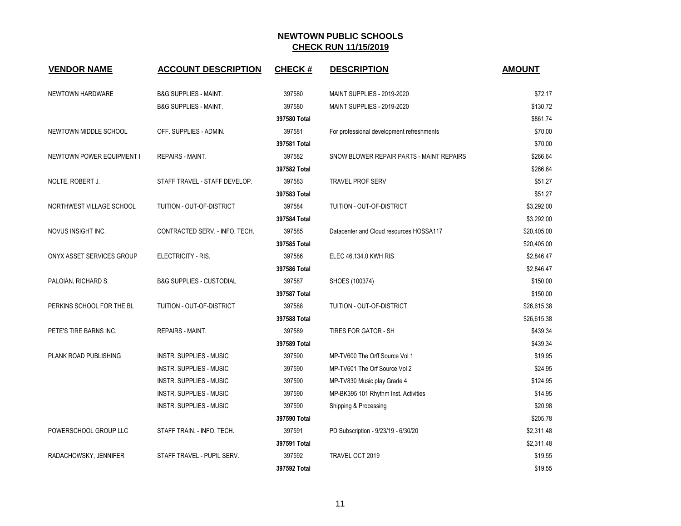| <b>VENDOR NAME</b>               | <b>ACCOUNT DESCRIPTION</b>          | <b>CHECK#</b> | <b>DESCRIPTION</b>                        | <b>AMOUNT</b> |
|----------------------------------|-------------------------------------|---------------|-------------------------------------------|---------------|
| NEWTOWN HARDWARE                 | <b>B&amp;G SUPPLIES - MAINT.</b>    | 397580        | MAINT SUPPLIES - 2019-2020                | \$72.17       |
|                                  | <b>B&amp;G SUPPLIES - MAINT.</b>    | 397580        | MAINT SUPPLIES - 2019-2020                | \$130.72      |
|                                  |                                     | 397580 Total  |                                           | \$861.74      |
| NEWTOWN MIDDLE SCHOOL            | OFF. SUPPLIES - ADMIN.              | 397581        | For professional development refreshments | \$70.00       |
|                                  |                                     | 397581 Total  |                                           | \$70.00       |
| <b>NEWTOWN POWER EQUIPMENT I</b> | <b>REPAIRS - MAINT.</b>             | 397582        | SNOW BLOWER REPAIR PARTS - MAINT REPAIRS  | \$266.64      |
|                                  |                                     | 397582 Total  |                                           | \$266.64      |
| NOLTE, ROBERT J.                 | STAFF TRAVEL - STAFF DEVELOP.       | 397583        | <b>TRAVEL PROF SERV</b>                   | \$51.27       |
|                                  |                                     | 397583 Total  |                                           | \$51.27       |
| NORTHWEST VILLAGE SCHOOL         | TUITION - OUT-OF-DISTRICT           | 397584        | TUITION - OUT-OF-DISTRICT                 | \$3,292.00    |
|                                  |                                     | 397584 Total  |                                           | \$3,292.00    |
| NOVUS INSIGHT INC.               | CONTRACTED SERV. - INFO. TECH.      | 397585        | Datacenter and Cloud resources HOSSA117   | \$20,405.00   |
|                                  |                                     | 397585 Total  |                                           | \$20,405.00   |
| ONYX ASSET SERVICES GROUP        | ELECTRICITY - RIS.                  | 397586        | ELEC 46,134.0 KWH RIS                     | \$2,846.47    |
|                                  |                                     | 397586 Total  |                                           | \$2,846.47    |
| PALOIAN, RICHARD S.              | <b>B&amp;G SUPPLIES - CUSTODIAL</b> | 397587        | SHOES (100374)                            | \$150.00      |
|                                  |                                     | 397587 Total  |                                           | \$150.00      |
| PERKINS SCHOOL FOR THE BL        | TUITION - OUT-OF-DISTRICT           | 397588        | TUITION - OUT-OF-DISTRICT                 | \$26,615.38   |
|                                  |                                     | 397588 Total  |                                           | \$26,615.38   |
| PETE'S TIRE BARNS INC.           | <b>REPAIRS - MAINT.</b>             | 397589        | <b>TIRES FOR GATOR - SH</b>               | \$439.34      |
|                                  |                                     | 397589 Total  |                                           | \$439.34      |
| PLANK ROAD PUBLISHING            | <b>INSTR. SUPPLIES - MUSIC</b>      | 397590        | MP-TV600 The Orff Source Vol 1            | \$19.95       |
|                                  | <b>INSTR. SUPPLIES - MUSIC</b>      | 397590        | MP-TV601 The Orf Source Vol 2             | \$24.95       |
|                                  | <b>INSTR. SUPPLIES - MUSIC</b>      | 397590        | MP-TV830 Music play Grade 4               | \$124.95      |
|                                  | INSTR. SUPPLIES - MUSIC             | 397590        | MP-BK395 101 Rhythm Inst. Activities      | \$14.95       |
|                                  | <b>INSTR. SUPPLIES - MUSIC</b>      | 397590        | Shipping & Processing                     | \$20.98       |
|                                  |                                     | 397590 Total  |                                           | \$205.78      |
| POWERSCHOOL GROUP LLC            | STAFF TRAIN. - INFO. TECH.          | 397591        | PD Subscription - 9/23/19 - 6/30/20       | \$2,311.48    |
|                                  |                                     | 397591 Total  |                                           | \$2,311.48    |
| RADACHOWSKY, JENNIFER            | STAFF TRAVEL - PUPIL SERV.          | 397592        | TRAVEL OCT 2019                           | \$19.55       |
|                                  |                                     | 397592 Total  |                                           | \$19.55       |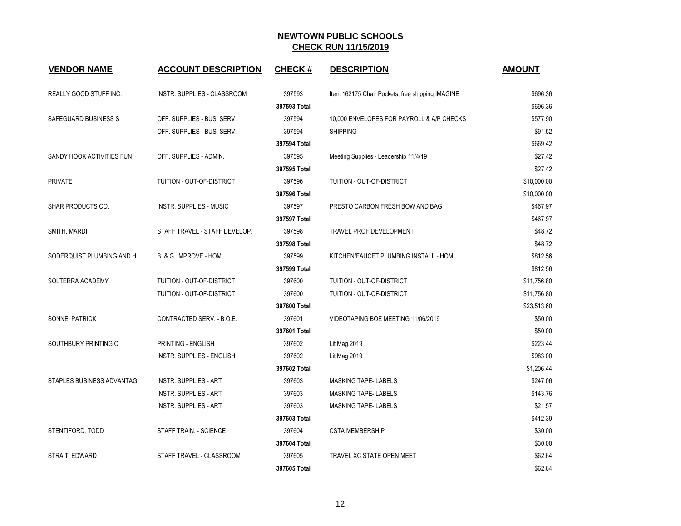| <b>VENDOR NAME</b>        | <b>ACCOUNT DESCRIPTION</b>    | <b>CHECK#</b> | <b>DESCRIPTION</b>                               | <b>AMOUNT</b> |
|---------------------------|-------------------------------|---------------|--------------------------------------------------|---------------|
| REALLY GOOD STUFF INC.    | INSTR. SUPPLIES - CLASSROOM   | 397593        | Item 162175 Chair Pockets, free shipping IMAGINE | \$696.36      |
|                           |                               | 397593 Total  |                                                  | \$696.36      |
| SAFEGUARD BUSINESS S      | OFF. SUPPLIES - BUS. SERV.    | 397594        | 10,000 ENVELOPES FOR PAYROLL & A/P CHECKS        | \$577.90      |
|                           | OFF. SUPPLIES - BUS. SERV.    | 397594        | <b>SHIPPING</b>                                  | \$91.52       |
|                           |                               | 397594 Total  |                                                  | \$669.42      |
| SANDY HOOK ACTIVITIES FUN | OFF. SUPPLIES - ADMIN.        | 397595        | Meeting Supplies - Leadership 11/4/19            | \$27.42       |
|                           |                               | 397595 Total  |                                                  | \$27.42       |
| <b>PRIVATE</b>            | TUITION - OUT-OF-DISTRICT     | 397596        | TUITION - OUT-OF-DISTRICT                        | \$10,000.00   |
|                           |                               | 397596 Total  |                                                  | \$10,000.00   |
| SHAR PRODUCTS CO.         | INSTR. SUPPLIES - MUSIC       | 397597        | PRESTO CARBON FRESH BOW AND BAG                  | \$467.97      |
|                           |                               | 397597 Total  |                                                  | \$467.97      |
| SMITH, MARDI              | STAFF TRAVEL - STAFF DEVELOP. | 397598        | TRAVEL PROF DEVELOPMENT                          | \$48.72       |
|                           |                               | 397598 Total  |                                                  | \$48.72       |
| SODERQUIST PLUMBING AND H | B. & G. IMPROVE - HOM.        | 397599        | KITCHEN/FAUCET PLUMBING INSTALL - HOM            | \$812.56      |
|                           |                               | 397599 Total  |                                                  | \$812.56      |
| SOLTERRA ACADEMY          | TUITION - OUT-OF-DISTRICT     | 397600        | TUITION - OUT-OF-DISTRICT                        | \$11,756.80   |
|                           | TUITION - OUT-OF-DISTRICT     | 397600        | TUITION - OUT-OF-DISTRICT                        | \$11,756.80   |
|                           |                               | 397600 Total  |                                                  | \$23,513.60   |
| SONNE, PATRICK            | CONTRACTED SERV. - B.O.E.     | 397601        | VIDEOTAPING BOE MEETING 11/06/2019               | \$50.00       |
|                           |                               | 397601 Total  |                                                  | \$50.00       |
| SOUTHBURY PRINTING C      | PRINTING - ENGLISH            | 397602        | Lit Mag 2019                                     | \$223.44      |
|                           | INSTR. SUPPLIES - ENGLISH     | 397602        | Lit Mag 2019                                     | \$983.00      |
|                           |                               | 397602 Total  |                                                  | \$1,206.44    |
| STAPLES BUSINESS ADVANTAG | <b>INSTR. SUPPLIES - ART</b>  | 397603        | <b>MASKING TAPE-LABELS</b>                       | \$247.06      |
|                           | <b>INSTR. SUPPLIES - ART</b>  | 397603        | <b>MASKING TAPE-LABELS</b>                       | \$143.76      |
|                           | <b>INSTR. SUPPLIES - ART</b>  | 397603        | MASKING TAPE-LABELS                              | \$21.57       |
|                           |                               | 397603 Total  |                                                  | \$412.39      |
| STENTIFORD, TODD          | STAFF TRAIN. - SCIENCE        | 397604        | <b>CSTA MEMBERSHIP</b>                           | \$30.00       |
|                           |                               | 397604 Total  |                                                  | \$30.00       |
| STRAIT, EDWARD            | STAFF TRAVEL - CLASSROOM      | 397605        | TRAVEL XC STATE OPEN MEET                        | \$62.64       |
|                           |                               | 397605 Total  |                                                  | \$62.64       |